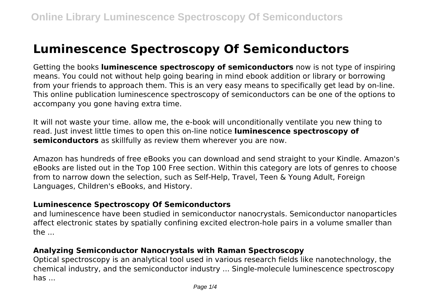# **Luminescence Spectroscopy Of Semiconductors**

Getting the books **luminescence spectroscopy of semiconductors** now is not type of inspiring means. You could not without help going bearing in mind ebook addition or library or borrowing from your friends to approach them. This is an very easy means to specifically get lead by on-line. This online publication luminescence spectroscopy of semiconductors can be one of the options to accompany you gone having extra time.

It will not waste your time. allow me, the e-book will unconditionally ventilate you new thing to read. Just invest little times to open this on-line notice **luminescence spectroscopy of semiconductors** as skillfully as review them wherever you are now.

Amazon has hundreds of free eBooks you can download and send straight to your Kindle. Amazon's eBooks are listed out in the Top 100 Free section. Within this category are lots of genres to choose from to narrow down the selection, such as Self-Help, Travel, Teen & Young Adult, Foreign Languages, Children's eBooks, and History.

#### **Luminescence Spectroscopy Of Semiconductors**

and luminescence have been studied in semiconductor nanocrystals. Semiconductor nanoparticles affect electronic states by spatially confining excited electron-hole pairs in a volume smaller than the ...

## **Analyzing Semiconductor Nanocrystals with Raman Spectroscopy**

Optical spectroscopy is an analytical tool used in various research fields like nanotechnology, the chemical industry, and the semiconductor industry ... Single-molecule luminescence spectroscopy  $has...$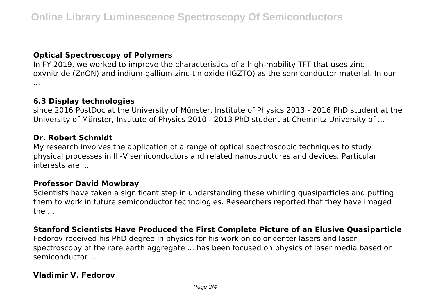## **Optical Spectroscopy of Polymers**

In FY 2019, we worked to improve the characteristics of a high-mobility TFT that uses zinc oxynitride (ZnON) and indium-gallium-zinc-tin oxide (IGZTO) as the semiconductor material. In our ...

## **6.3 Display technologies**

since 2016 PostDoc at the University of Münster, Institute of Physics 2013 - 2016 PhD student at the University of Münster, Institute of Physics 2010 - 2013 PhD student at Chemnitz University of ...

#### **Dr. Robert Schmidt**

My research involves the application of a range of optical spectroscopic techniques to study physical processes in III-V semiconductors and related nanostructures and devices. Particular interests are ...

## **Professor David Mowbray**

Scientists have taken a significant step in understanding these whirling quasiparticles and putting them to work in future semiconductor technologies. Researchers reported that they have imaged the ...

### **Stanford Scientists Have Produced the First Complete Picture of an Elusive Quasiparticle**

Fedorov received his PhD degree in physics for his work on color center lasers and laser spectroscopy of the rare earth aggregate ... has been focused on physics of laser media based on semiconductor ...

## **Vladimir V. Fedorov**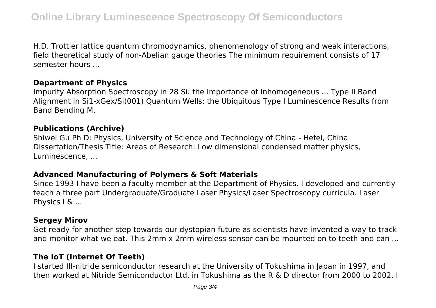H.D. Trottier lattice quantum chromodynamics, phenomenology of strong and weak interactions, field theoretical study of non-Abelian gauge theories The minimum requirement consists of 17 semester hours ...

#### **Department of Physics**

Impurity Absorption Spectroscopy in 28 Si: the Importance of Inhomogeneous ... Type II Band Alignment in Si1-xGex/Si(001) Quantum Wells: the Ubiquitous Type I Luminescence Results from Band Bending M.

#### **Publications (Archive)**

Shiwei Gu Ph D: Physics, University of Science and Technology of China - Hefei, China Dissertation/Thesis Title: Areas of Research: Low dimensional condensed matter physics, Luminescence, ...

### **Advanced Manufacturing of Polymers & Soft Materials**

Since 1993 I have been a faculty member at the Department of Physics. I developed and currently teach a three part Undergraduate/Graduate Laser Physics/Laser Spectroscopy curricula. Laser Physics I & ...

## **Sergey Mirov**

Get ready for another step towards our dystopian future as scientists have invented a way to track and monitor what we eat. This 2mm x 2mm wireless sensor can be mounted on to teeth and can ...

# **The IoT (Internet Of Teeth)**

I started III-nitride semiconductor research at the University of Tokushima in Japan in 1997, and then worked at Nitride Semiconductor Ltd. in Tokushima as the R & D director from 2000 to 2002. I